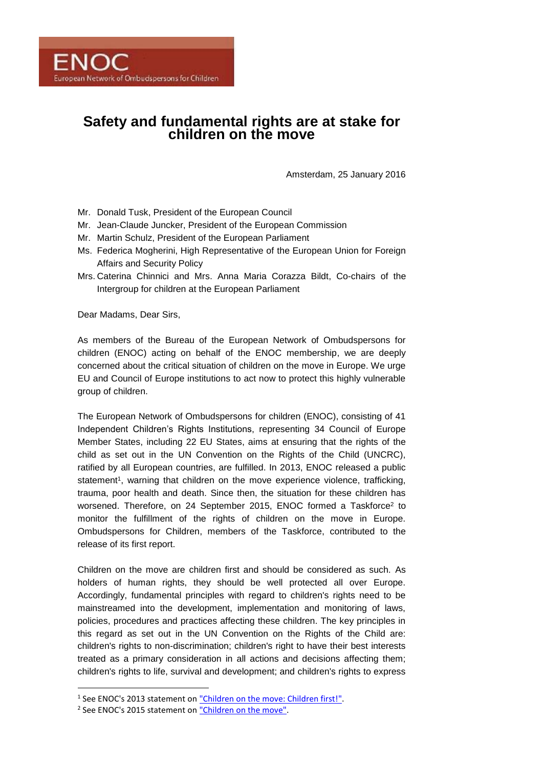# **Safety and fundamental rights are at stake for children on the move**

Amsterdam, 25 January 2016

- Mr. Donald Tusk, President of the European Council
- Mr. Jean-Claude Juncker, President of the European Commission
- Mr. Martin Schulz, President of the European Parliament
- Ms. Federica Mogherini, High Representative of the European Union for Foreign Affairs and Security Policy
- Mrs. Caterina Chinnici and Mrs. Anna Maria Corazza Bildt, Co-chairs of the Intergroup for children at the European Parliament

Dear Madams, Dear Sirs,

As members of the Bureau of the European Network of Ombudspersons for children (ENOC) acting on behalf of the ENOC membership, we are deeply concerned about the critical situation of children on the move in Europe. We urge EU and Council of Europe institutions to act now to protect this highly vulnerable group of children.

The European Network of Ombudspersons for children (ENOC), consisting of 41 Independent Children's Rights Institutions, representing 34 Council of Europe Member States, including 22 EU States, aims at ensuring that the rights of the child as set out in the UN Convention on the Rights of the Child (UNCRC), ratified by all European countries, are fulfilled. In 2013, ENOC released a public statement<sup>1</sup>, warning that children on the move experience violence, trafficking, trauma, poor health and death. Since then, the situation for these children has worsened. Therefore, on 24 September 2015, ENOC formed a Taskforce<sup>2</sup> to monitor the fulfillment of the rights of children on the move in Europe. Ombudspersons for Children, members of the Taskforce, contributed to the release of its first report.

Children on the move are children first and should be considered as such. As holders of human rights, they should be well protected all over Europe. Accordingly, fundamental principles with regard to children's rights need to be mainstreamed into the development, implementation and monitoring of laws, policies, procedures and practices affecting these children. The key principles in this regard as set out in the UN Convention on the Rights of the Child are: children's rights to non-discrimination; children's right to have their best interests treated as a primary consideration in all actions and decisions affecting them; children's rights to life, survival and development; and children's rights to express

**.** 

<sup>&</sup>lt;sup>1</sup> See ENOC's 2013 statement o[n "Children on the move: Children first!".](http://enoc.eu/wp-content/uploads/2015/01/ENOC-2013-Statement-on-Children-on-the-Move-EN.pdf)

<sup>&</sup>lt;sup>2</sup> See ENOC's 2015 statement o[n "Children on the move".](http://enoc.eu/?p=1254)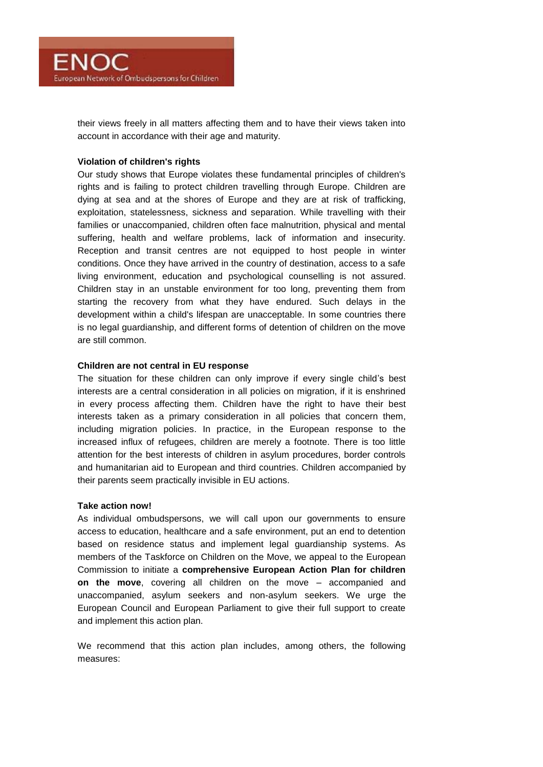

their views freely in all matters affecting them and to have their views taken into account in accordance with their age and maturity.

# **Violation of children's rights**

Our study shows that Europe violates these fundamental principles of children's rights and is failing to protect children travelling through Europe. Children are dying at sea and at the shores of Europe and they are at risk of trafficking, exploitation, statelessness, sickness and separation. While travelling with their families or unaccompanied, children often face malnutrition, physical and mental suffering, health and welfare problems, lack of information and insecurity. Reception and transit centres are not equipped to host people in winter conditions. Once they have arrived in the country of destination, access to a safe living environment, education and psychological counselling is not assured. Children stay in an unstable environment for too long, preventing them from starting the recovery from what they have endured. Such delays in the development within a child's lifespan are unacceptable. In some countries there is no legal guardianship, and different forms of detention of children on the move are still common.

#### **Children are not central in EU response**

The situation for these children can only improve if every single child's best interests are a central consideration in all policies on migration, if it is enshrined in every process affecting them. Children have the right to have their best interests taken as a primary consideration in all policies that concern them, including migration policies. In practice, in the European response to the increased influx of refugees, children are merely a footnote. There is too little attention for the best interests of children in asylum procedures, border controls and humanitarian aid to European and third countries. Children accompanied by their parents seem practically invisible in EU actions.

#### **Take action now!**

As individual ombudspersons, we will call upon our governments to ensure access to education, healthcare and a safe environment, put an end to detention based on residence status and implement legal guardianship systems. As members of the Taskforce on Children on the Move, we appeal to the European Commission to initiate a **comprehensive European Action Plan for children on the move**, covering all children on the move – accompanied and unaccompanied, asylum seekers and non-asylum seekers. We urge the European Council and European Parliament to give their full support to create and implement this action plan.

We recommend that this action plan includes, among others, the following measures: